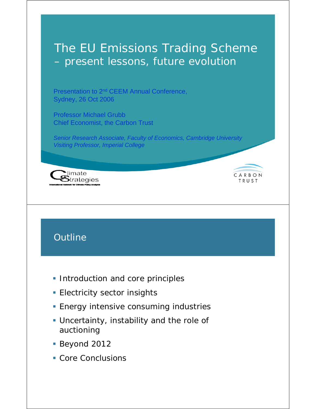# The EU Emissions Trading Scheme – present lessons, future evolution

Presentation to 2nd CEEM Annual Conference, Sydney, 26 Oct 2006

Professor Michael Grubb Chief Economist, the Carbon Trust

*Senior Research Associate, Faculty of Economics, Cambridge University Visiting Professor, Imperial College*

CARBON

TRUST



# **Outline**

- **Introduction and core principles**
- **Electricity sector insights**
- **Energy intensive consuming industries**
- Uncertainty, instability and the role of auctioning
- Beyond 2012
- **Core Conclusions**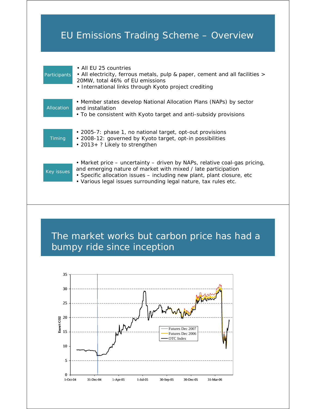# EU Emissions Trading Scheme – Overview

| Participants | • All FU 25 countries<br>• All electricity, ferrous metals, pulp & paper, cement and all facilities ><br>20MW, total 46% of EU emissions<br>• International links through Kyoto project crediting                                                                                       |
|--------------|-----------------------------------------------------------------------------------------------------------------------------------------------------------------------------------------------------------------------------------------------------------------------------------------|
| Allocation   | • Member states develop National Allocation Plans (NAPs) by sector<br>and installation<br>• To be consistent with Kyoto target and anti-subsidy provisions                                                                                                                              |
| Timing       | • 2005-7: phase 1, no national target, opt-out provisions<br>• 2008-12: governed by Kyoto target, opt-in possibilities<br>• 2013+ ? Likely to strengthen                                                                                                                                |
| Key issues   | • Market price - uncertainty - driven by NAPs, relative coal-gas pricing,<br>and emerging nature of market with mixed / late participation<br>• Specific allocation issues – including new plant, plant closure, etc<br>. Various legal issues surrounding legal nature, tax rules etc. |

# The market works but carbon price has had a bumpy ride since inception

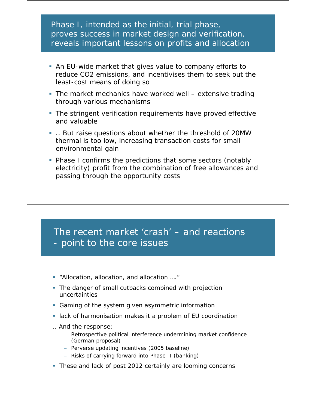### Phase I, intended as the initial, trial phase, proves success in market design and verification, reveals important lessons on profits and allocation

- An EU-wide market that gives value to company efforts to reduce CO2 emissions, and incentivises them to seek out the least-cost means of doing so
- The market mechanics have worked well extensive trading through various mechanisms
- The stringent verification requirements have proved effective and valuable
- .. But raise questions about whether the threshold of 20MW thermal is too low, increasing transaction costs for small environmental gain
- Phase I confirms the predictions that some sectors (notably electricity) profit from the combination of free allowances and passing through the opportunity costs

### The recent market 'crash' – and reactions - point to the core issues

- "Allocation, allocation, and allocation …."
- The danger of small cutbacks combined with projection uncertainties
- Gaming of the system given asymmetric information
- lack of harmonisation makes it a problem of EU coordination
- .. And the response:
	- Retrospective political interference undermining market confidence (German proposal)
	- Perverse updating incentives (2005 baseline)
	- Risks of carrying forward into Phase II (banking)
- These and lack of post 2012 certainly are looming concerns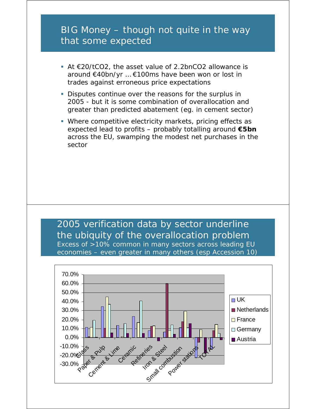## BIG Money – though not quite in the way that some expected

- At €20/tCO2, the asset value of 2.2bnCO2 allowance is around €40bn/yr … €100ms have been won or lost in trades against erroneous price expectations
- Disputes continue over the reasons for the surplus in 2005 - but it is some combination of overallocation and greater than predicted abatement (eg. in cement sector)
- Where competitive electricity markets, pricing effects as expected lead to profits – probably totalling around **€5bn** across the EU, swamping the modest net purchases in the sector

### 2005 verification data by sector underline the ubiquity of the overallocation problem Excess of >10% common in many sectors across leading EU economies – even greater in many others (esp Accession 10)

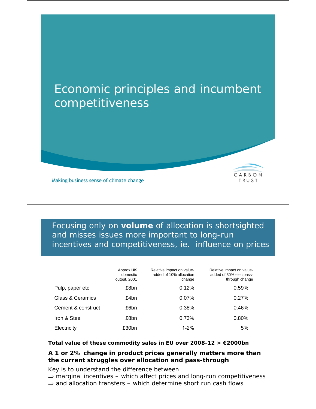# Economic principles and incumbent competitiveness



Focusing only on **volume** of allocation is shortsighted and misses issues more important to long-run incentives and competitiveness, ie. influence on prices

CARBON

TRUST

|                             | Approx UK<br>domestic<br>output, 2001 | Relative impact on value-<br>added of 10% allocation<br>change | Relative impact on value-<br>added of 30% elec pass-<br>through change |
|-----------------------------|---------------------------------------|----------------------------------------------------------------|------------------------------------------------------------------------|
| Pulp, paper etc             | £8bn                                  | 0.12%                                                          | 0.59%                                                                  |
| <b>Glass &amp; Ceramics</b> | £4bn                                  | 0.07%                                                          | 0.27%                                                                  |
| Cement & construct          | £6bn                                  | 0.38%                                                          | 0.46%                                                                  |
| Iron & Steel                | £8bn                                  | 0.73%                                                          | 0.80%                                                                  |
| Electricity                 | £30bn                                 | $1 - 2%$                                                       | 5%                                                                     |

#### **Total value of these commodity sales in EU over 2008-12 > €2000bn**

#### **A 1 or 2% change in product prices generally matters more than the current struggles over allocation and pass-through**

Key is to understand the difference between

⇒ *marginal incentives* – which affect prices and long-run competitiveness

⇒ and *allocation transfers* – which determine short run cash flows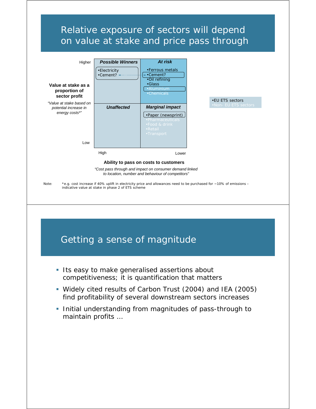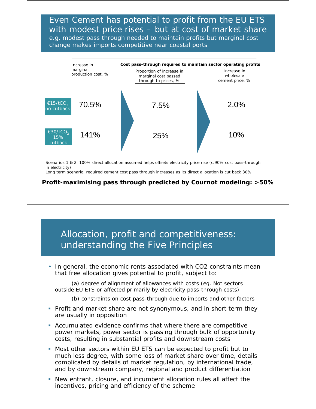Even Cement has potential to profit from the EU ETS with modest price rises – but at cost of market share *e.g.* modest pass through needed to maintain profits but marginal cost change makes imports competitive near coastal ports



Scenarios 1 & 2, 100% direct allocation assumed helps offsets electricity price rise (c.90% cost pass-through in electricity)

Long term scenario, required cement cost pass through increases as its direct allocation is cut back 30%

**Profit-maximising pass through predicted by Cournot modeling: >50%**

### Allocation, profit and competitiveness: understanding the Five Principles

• *In general,* the economic rents associated with CO2 constraints mean that free allocation gives *potential* to profit, subject to:

(a) degree of alignment of allowances with costs (eg. Not sectors outside EU ETS or affected primarily by electricity pass-through costs)

- (b) constraints on cost pass-through due to imports and other factors
- Profit and market share are not synonymous, and *in short term they are usually in opposition*
- Accumulated evidence confirms that where there are competitive power markets, power sector is passing through bulk of opportunity costs, resulting in substantial profits and downstream costs
- Most other sectors within EU ETS can be expected to profit but to much less degree, with some loss of market share over time, details complicated by details of market regulation, by international trade, and by downstream company, regional and product differentiation
- New entrant, closure, and incumbent allocation rules all affect the incentives, pricing and efficiency of the scheme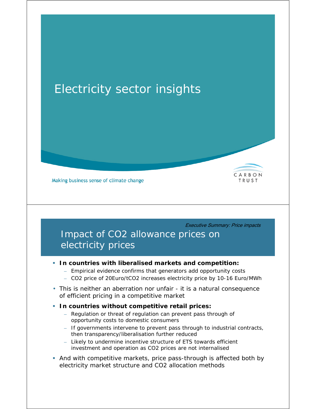# Electricity sector insights



Making business sense of climate change

Executive Summary: Price impacts

## Impact of CO2 allowance prices on electricity prices

#### **In countries with liberalised markets and competition:**

- Empirical evidence confirms that generators add opportunity costs
- CO2 price of 20Euro/tCO2 increases electricity price by 10-16 Euro/MWh
- This is neither an aberration nor unfair it is a natural consequence of efficient pricing in a competitive market

#### **In countries** *without* **competitive retail prices:**

- Regulation or threat of regulation can prevent pass through of opportunity costs to domestic consumers
- If governments intervene to prevent pass through to industrial contracts, then transparency/liberalisation further reduced
- Likely to undermine incentive structure of ETS towards efficient investment and operation as CO2 prices are not internalised
- And with competitive markets, price pass-through *is* affected both by electricity market structure and CO2 allocation methods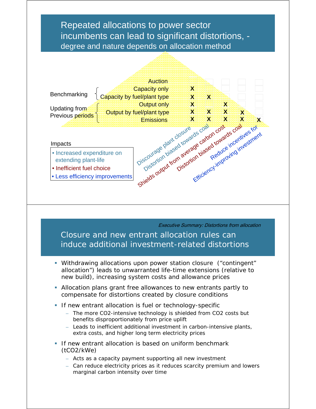### Repeated allocations to power sector incumbents can lead to significant distortions, degree and nature depends on allocation method



Executive Summary: Distortions from allocation

Closure and new entrant allocation rules can induce additional investment-related distortions

- Withdrawing allocations upon power station closure ("contingent" allocation") leads to unwarranted life-time extensions (relative to new build), increasing system costs and allowance prices
- Allocation plans grant free allowances to new entrants partly to compensate for distortions created by closure conditions
- **If new entrant allocation is fuel or technology-specific** 
	- The more CO2-intensive technology is shielded from CO2 costs but benefits disproportionately from price uplift
	- Leads to inefficient *additional* investment in carbon-intensive plants, extra costs, and higher long term electricity prices
- **If new entrant allocation is based on uniform benchmark** (tCO2/kWe)
	- Acts as a capacity payment supporting all new investment
	- Can reduce electricity prices as it reduces scarcity premium and lowers marginal carbon intensity over time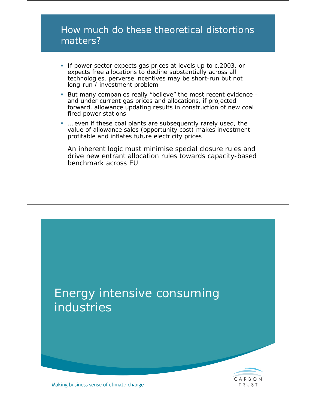## How much do these theoretical distortions matters?

- If power sector expects gas prices at levels up to c.2003, or expects free allocations to decline substantially across all technologies, perverse incentives may be short-run but not long-run / investment problem
- But many companies really "believe" the most recent evidence and under current gas prices and allocations, if projected forward, allowance updating results in construction of new coal fired power stations
- *… even if these coal plants are subsequently rarely used, the value of allowance sales (opportunity cost) makes investment profitable and inflates future electricity prices*

*An inherent logic must minimise special closure rules and drive new entrant allocation rules towards capacity-based benchmark across EU*



TRUST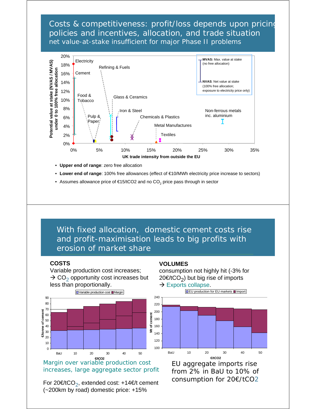Costs & competitiveness: profit/loss depends upon pricing policies and incentives, allocation, and trade situation *net* value-at-stake insufficient for major Phase II problems



- **Upper end of range**: zero free allocation
- **Lower end of range**: 100% free allowances (effect of €10/MWh electricity price increase to sectors)
- Assumes allowance price of  $€15/1CO2$  and no  $CO<sub>2</sub>$  price pass through in sector

With fixed allocation, domestic cement costs rise and profit-maximisation leads to big profits with erosion of market share

#### **COSTS**

Variable production cost increases;  $\rightarrow$  CO<sub>2</sub> opportunity cost increases but less than proportionally.



Margin over variable production cost increases, large aggregate sector profit

For 20€/tCO<sub>2</sub>, extended cost: +14€/t cement (~200km by road) domestic price: +15%

#### **VOLUMES**

consumption not highly hit (-3% for 20€/tCO<sub>2</sub>) but big rise of imports  $\rightarrow$  Exports collapse.



EU aggregate imports rise from 2% in BaU to 10% of consumption for 20€/tCO2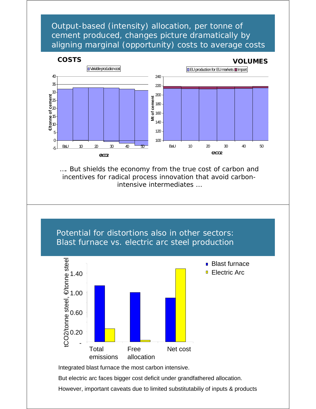Output-based (intensity) allocation, per tonne of cement produced, changes picture dramatically by aligning marginal (opportunity) costs to average costs



### **COSTS VOLUMES**



*…. But shields the economy from the true cost of carbon and incentives for radical process innovation that avoid carbonintensive intermediates …*

Potential for distortions also in other sectors: Blast furnace vs. electric arc steel production



Integrated blast furnace the most carbon intensive.

But electric arc faces bigger cost deficit under grandfathered allocation.

However, important caveats due to limited substitutabiliy of inputs & products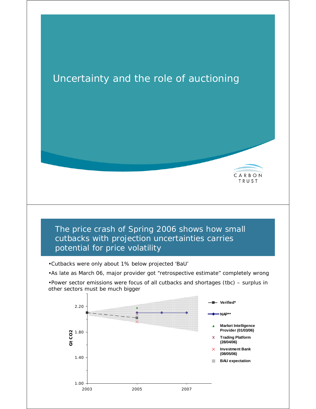

1.00 2003 2005 2007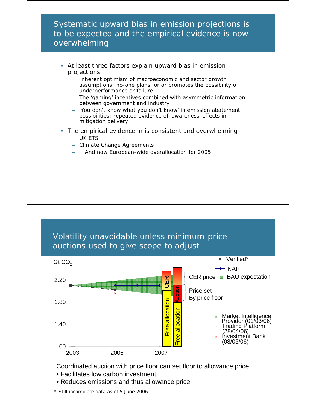Systematic upward bias in emission projections is to be expected and the empirical evidence is now overwhelming

- At least three factors explain upward bias in emission projections
	- Inherent optimism of macroeconomic and sector growth assumptions: no-one plans for or promotes the possibility of underperformance or failure
	- The 'gaming' incentives combined with asymmetric information between government and industry
	- 'You don't know what you don't know' in emission abatement possibilities: repeated evidence of 'awareness' effects in mitigation delivery
- The empirical evidence in is consistent and overwhelming
	- UK ETS
	- Climate Change Agreements
	- .. And now European-wide overallocation for 2005





- Coordinated auction with price floor can set floor to allowance price
- Facilitates low carbon investment
- Reduces emissions and thus allowance price

*\* Still incomplete data as of 5 June 2006*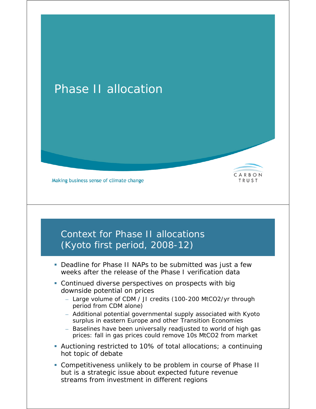# Phase II allocation



## Context for Phase II allocations (Kyoto first period, 2008-12)

 Deadline for Phase II NAPs to be submitted was just a few weeks after the release of the Phase I verification data

CARBON

TRUST

- Continued diverse perspectives on prospects with big downside potential on prices
	- Large volume of CDM / JI credits (100-200 MtCO2/yr through period from CDM alone)
	- Additional potential governmental supply associated with Kyoto surplus in eastern Europe and other Transition Economies
	- Baselines have been universally readjusted to world of high gas prices: fall in gas prices could remove 10s MtCO2 from market
- Auctioning restricted to 10% of total allocations; a continuing hot topic of debate
- Competitiveness unlikely to be problem in course of Phase II but is a *strategic* issue about expected future revenue streams from investment in different regions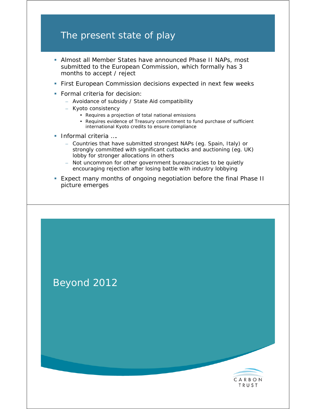## The present state of play

- Almost all Member States have announced Phase II NAPs, most submitted to the European Commission, which formally has 3 months to accept / reject
- **First European Commission decisions expected in next few weeks**
- **Formal criteria for decision:** 
	- Avoidance of subsidy / State Aid compatibility
	- Kyoto consistency
		- Requires a projection of *total national* emissions
		- Requires evidence of Treasury commitment to fund purchase of sufficient international Kyoto credits to ensure compliance
- **Informal criteria** ....
	- Countries that have submitted strongest NAPs (eg. Spain, Italy) or strongly committed with significant cutbacks and auctioning (eg. UK) lobby for stronger allocations in others
	- Not uncommon for other government bureaucracies to be quietly encouraging rejection after losing battle with industry lobbying
- Expect many months of ongoing negotiation before the final Phase II picture emerges



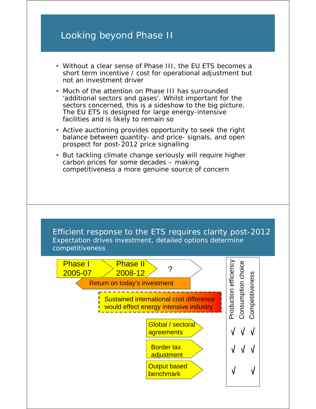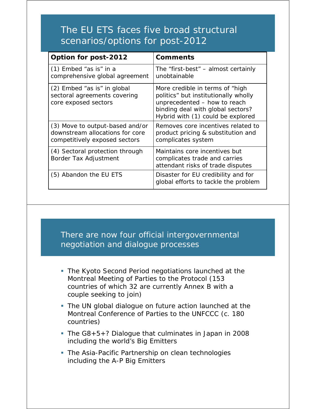# The EU ETS faces five broad structural scenarios/options for post-2012

| Option for post-2012                                                                                | <b>Comments</b>                                                                                                                                                                   |  |
|-----------------------------------------------------------------------------------------------------|-----------------------------------------------------------------------------------------------------------------------------------------------------------------------------------|--|
| $(1)$ Embed "as is" in a<br>comprehensive global agreement                                          | The "first-best" $-$ almost certainly<br>unobtainable                                                                                                                             |  |
| (2) Embed "as is" in global<br>sectoral agreements covering<br>core exposed sectors                 | More credible in terms of "high<br>politics" but institutionally wholly<br>unprecedented - how to reach<br>binding deal with global sectors?<br>Hybrid with (1) could be explored |  |
| (3) Move to output-based and/or<br>downstream allocations for core<br>competitively exposed sectors | Removes core incentives related to<br>product pricing & substitution and<br>complicates system                                                                                    |  |
| (4) Sectoral protection through<br>Border Tax Adjustment                                            | Maintains core incentives but<br>complicates trade and carries<br>attendant risks of trade disputes                                                                               |  |
| (5) Abandon the EU ETS                                                                              | Disaster for EU credibility and for<br>global efforts to tackle the problem                                                                                                       |  |

### There are now *four* official intergovernmental negotiation and dialogue processes

- The Kyoto Second Period negotiations launched at the Montreal Meeting of Parties to the Protocol (153 countries of which 32 are currently Annex B with a couple seeking to join)
- The UN global dialogue on future action launched at the Montreal Conference of Parties to the UNFCCC (c. 180 countries)
- The G8+5+? Dialogue that culminates in Japan in 2008 including the world's Big Emitters
- The Asia-Pacific Partnership on clean technologies including the A-P Big Emitters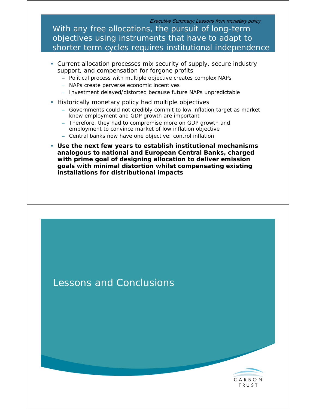Executive Summary: Lessons from monetary policy

With any free allocations, the pursuit of long-term objectives using instruments that have to adapt to shorter term cycles requires institutional independence

- Current allocation processes mix security of supply, secure industry support, and compensation for forgone profits
	- Political process with multiple objective creates complex NAPs
	- NAPs create perverse economic incentives
	- Investment delayed/distorted because future NAPs unpredictable
- **Historically monetary policy had multiple objectives** 
	- Governments could not credibly commit to low inflation target as market knew employment and GDP growth are important
	- Therefore, they had to compromise more on GDP growth and employment to convince market of low inflation objective
	- Central banks now have one objective: control inflation
- **Use the next few years to establish institutional mechanisms analogous to national and European Central Banks, charged with prime goal of designing allocation to deliver emission goals with minimal distortion whilst compensating existing installations for distributional impacts**



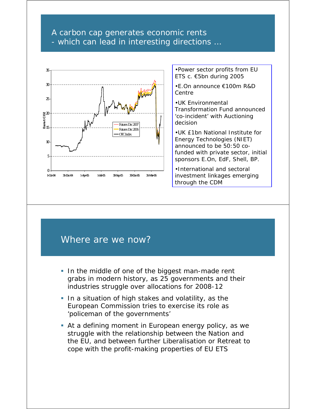### A carbon cap generates economic rents - which can lead in interesting directions …



•Power sector profits from EU ETS c. €5bn during 2005

•E.On announce €100m R&D Centre

•UK Environmental Transformation Fund announced 'co-incident' with Auctioning decision

•UK £1bn National Institute for Energy Technologies (NIET) announced to be 50:50 cofunded with private sector, initial sponsors E.On, EdF, Shell, BP.

•International and sectoral investment linkages emerging through the CDM

### Where are we now?

- In the middle of one of the biggest man-made rent grabs in modern history, as 25 governments and their industries struggle over allocations for 2008-12
- In a situation of high stakes and volatility, as the European Commission tries to exercise its role as 'policeman of the governments'
- At a defining moment in European energy policy, as we struggle with the relationship between the Nation and the EU, and between further Liberalisation or Retreat to cope with the profit-making properties of EU ETS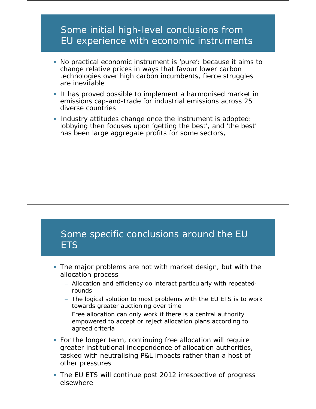### Some initial high-level conclusions from EU experience with economic instruments

- No practical economic instrument is 'pure': because it aims to change relative prices in ways that favour lower carbon technologies over high carbon incumbents, fierce struggles are inevitable
- It has proved *possible* to implement a harmonised market in emissions cap-and-trade for industrial emissions across 25 diverse countries
- **Industry attitudes change once the instrument is adopted:** lobbying then focuses upon 'getting the best', and 'the best' has been large aggregate profits for some sectors,

### Some specific conclusions around the EU **ETS**

- The major problems are not with market design, but with the allocation process
	- Allocation and efficiency *do* interact particularly with repeatedrounds
	- The logical solution to most problems with the EU ETS is to work towards greater auctioning over time
	- Free allocation can only work if there is a central authority empowered to accept or reject allocation plans according to agreed criteria
- For the longer term, continuing free allocation will require greater institutional independence of allocation authorities, tasked with neutralising P&L impacts rather than a host of other pressures
- The EU ETS will continue post 2012 irrespective of progress elsewhere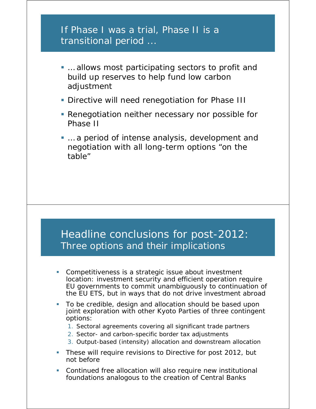### If Phase I was a trial, Phase II is a transitional period ...

- ... allows most participating sectors to profit and build up reserves to help fund low carbon adjustment
- **Directive will need renegotiation for Phase III**
- **Renegotiation neither necessary nor possible for** Phase II
- ... a period of intense analysis, development and negotiation with all long-term options "on the table"

# Headline conclusions for post-2012: Three options and their implications

- Competitiveness is a *strategic* issue about investment location: investment security and efficient operation require EU governments to commit unambiguously to continuation of the EU ETS, but in ways that do not drive investment abroad
- To be credible, design and allocation should be based upon joint exploration with other Kyoto Parties of three contingent options:
	- 1. Sectoral agreements covering all significant trade partners
	- 2. Sector- and carbon-specific border tax adjustments
	- 3. Output-based (intensity) allocation and downstream allocation
- **These will require revisions to Directive for post 2012, but** not before
- Continued free allocation will also require new institutional foundations analogous to the creation of Central Banks